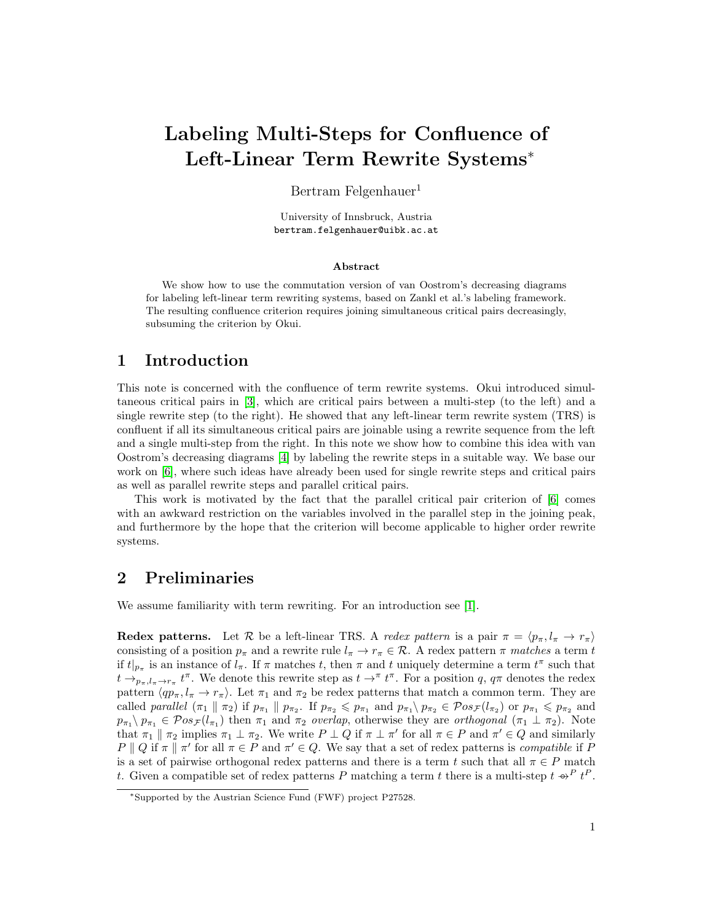# Labeling Multi-Steps for Confluence of Left-Linear Term Rewrite Systems<sup>∗</sup>

Bertram Felgenhauer<sup>1</sup>

University of Innsbruck, Austria bertram.felgenhauer@uibk.ac.at

#### Abstract

We show how to use the commutation version of van Oostrom's decreasing diagrams for labeling left-linear term rewriting systems, based on Zankl et al.'s labeling framework. The resulting confluence criterion requires joining simultaneous critical pairs decreasingly, subsuming the criterion by Okui.

# 1 Introduction

This note is concerned with the confluence of term rewrite systems. Okui introduced simultaneous critical pairs in [\[3\]](#page-4-0), which are critical pairs between a multi-step (to the left) and a single rewrite step (to the right). He showed that any left-linear term rewrite system (TRS) is confluent if all its simultaneous critical pairs are joinable using a rewrite sequence from the left and a single multi-step from the right. In this note we show how to combine this idea with van Oostrom's decreasing diagrams [\[4\]](#page-4-1) by labeling the rewrite steps in a suitable way. We base our work on [\[6\]](#page-4-2), where such ideas have already been used for single rewrite steps and critical pairs as well as parallel rewrite steps and parallel critical pairs.

This work is motivated by the fact that the parallel critical pair criterion of [\[6\]](#page-4-2) comes with an awkward restriction on the variables involved in the parallel step in the joining peak, and furthermore by the hope that the criterion will become applicable to higher order rewrite systems.

# 2 Preliminaries

We assume familiarity with term rewriting. For an introduction see [\[1\]](#page-4-3).

**Redex patterns.** Let R be a left-linear TRS. A redex pattern is a pair  $\pi = \langle p_{\pi}, l_{\pi} \to r_{\pi} \rangle$ consisting of a position  $p_{\pi}$  and a rewrite rule  $l_{\pi} \to r_{\pi} \in \mathcal{R}$ . A redex pattern  $\pi$  matches a term t if  $t|_{p_{\pi}}$  is an instance of  $l_{\pi}$ . If  $\pi$  matches t, then  $\pi$  and t uniquely determine a term  $t^{\pi}$  such that  $t \to_{p_\pi, l_\pi \to r_\pi} t^\pi$ . We denote this rewrite step as  $t \to^{\pi} t^\pi$ . For a position q,  $q\pi$  denotes the redex pattern  $\langle qp_{\pi}, l_{\pi} \to r_{\pi} \rangle$ . Let  $\pi_1$  and  $\pi_2$  be redex patterns that match a common term. They are called parallel  $(\pi_1 \parallel \pi_2)$  if  $p_{\pi_1} \parallel p_{\pi_2}$ . If  $p_{\pi_2} \leq p_{\pi_1}$  and  $p_{\pi_1} \setminus p_{\pi_2} \in \mathcal{P}os_{\mathcal{F}}(l_{\pi_2})$  or  $p_{\pi_1} \leq p_{\pi_2}$  and  $p_{\pi_1}$   $p_{\pi_1} \in \mathcal{P}os_{\mathcal{F}}(l_{\pi_1})$  then  $\pi_1$  and  $\pi_2$  overlap, otherwise they are orthogonal  $(\pi_1 \perp \pi_2)$ . Note that  $\pi_1 \parallel \pi_2$  implies  $\pi_1 \perp \pi_2$ . We write  $P \perp Q$  if  $\pi \perp \pi'$  for all  $\pi \in P$  and  $\pi' \in Q$  and similarly  $P \parallel Q$  if  $\pi \parallel \pi'$  for all  $\pi \in P$  and  $\pi' \in Q$ . We say that a set of redex patterns is *compatible* if P is a set of pairwise orthogonal redex patterns and there is a term t such that all  $\pi \in P$  match t. Given a compatible set of redex patterns P matching a term t there is a multi-step  $t \varphi^P t^P$ .

<sup>∗</sup>Supported by the Austrian Science Fund (FWF) project P27528.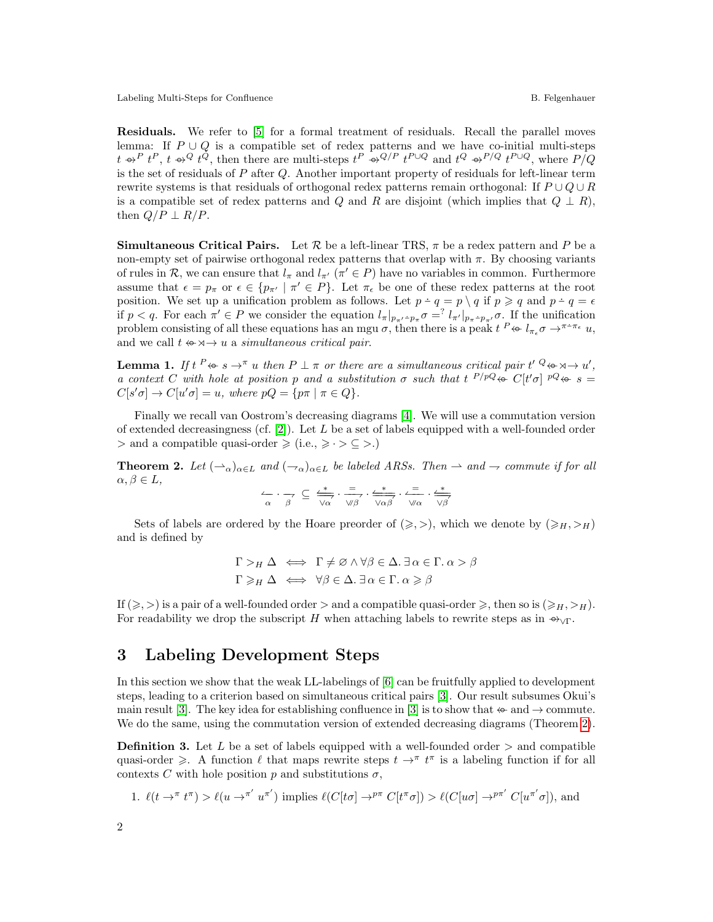Labeling Multi-Steps for Confluence and Security and Security and Security B. Felgenhauer

Residuals. We refer to [\[5\]](#page-4-4) for a formal treatment of residuals. Recall the parallel moves lemma: If  $P \cup Q$  is a compatible set of redex patterns and we have co-initial multi-steps  $t \rightarrow P t^P$ ,  $t \rightarrow Q t^Q$ , then there are multi-steps  $t^P \rightarrow Q^{Q/P} t^{P \cup Q}$  and  $t^Q \rightarrow P^{Q} t^{P \cup Q}$ , where  $P/Q$ is the set of residuals of  $P$  after  $Q$ . Another important property of residuals for left-linear term rewrite systems is that residuals of orthogonal redex patterns remain orthogonal: If  $P \cup Q \cup R$ is a compatible set of redex patterns and Q and R are disjoint (which implies that  $Q \perp R$ ), then  $Q/P \perp R/P$ .

**Simultaneous Critical Pairs.** Let  $\mathcal{R}$  be a left-linear TRS,  $\pi$  be a redex pattern and P be a non-empty set of pairwise orthogonal redex patterns that overlap with  $\pi$ . By choosing variants of rules in R, we can ensure that  $l_{\pi}$  and  $l_{\pi'}$  ( $\pi' \in P$ ) have no variables in common. Furthermore assume that  $\epsilon = p_{\pi}$  or  $\epsilon \in \{p_{\pi'} \mid \pi' \in P\}$ . Let  $\pi_{\epsilon}$  be one of these redex patterns at the root position. We set up a unification problem as follows. Let  $p - q = p \setminus q$  if  $p \geq q$  and  $p - q = \epsilon$ if  $p < q$ . For each  $\pi' \in P$  we consider the equation  $l_{\pi}|_{p_{\pi'}p_{\pi}} \sigma = \nvert l_{\pi'}|_{p_{\pi}p_{\pi'}} \sigma$ . If the unification problem consisting of all these equations has an mgu  $\sigma$ , then there is a peak  $t^P \leftrightarrow l_{\pi_{\epsilon}} \sigma \rightarrow^{\pi^+ \pi_{\epsilon}} u$ , and we call  $t \leftrightarrow \neg \rightarrow u$  a simultaneous critical pair.

<span id="page-1-1"></span>**Lemma 1.** If  $t^P \Leftrightarrow s \to^{\pi} u$  then  $P \perp \pi$  or there are a simultaneous critical pair  $t^P \Leftrightarrow s \to u^P$ , a context C with hole at position p and a substitution  $\sigma$  such that  $t^{P/pQ} \leftrightarrow C[t'\sigma]^{pQ} \leftrightarrow s =$  $C[s'\sigma] \to C[u'\sigma] = u$ , where  $pQ = \{p\pi \mid \pi \in Q\}.$ 

Finally we recall van Oostrom's decreasing diagrams [\[4\]](#page-4-1). We will use a commutation version of extended decreasingness (cf.  $[2]$ ). Let L be a set of labels equipped with a well-founded order  $>$  and a compatible quasi-order  $\geq$  (i.e.,  $\geq$   $\cdot$   $>$   $\subseteq$   $>$ .)

<span id="page-1-0"></span>**Theorem 2.** Let  $(\neg \alpha)_{\alpha \in L}$  and  $(\neg \alpha)_{\alpha \in L}$  be labeled ARSs. Then  $\rightarrow$  and  $\rightarrow$  commute if for all  $\alpha, \beta \in L$ ,

(− α · −+β <sup>⊆</sup> (<sup>∗</sup> −−+−− <sup>&</sup>lt;α · <sup>=</sup>−−+ <sup>6</sup>β · (<sup>∗</sup> −−−−+−− <sup>&</sup>lt;αβ · <sup>=</sup>(−− <sup>6</sup>α · (<sup>∗</sup> −−+−− <sup>&</sup>lt;β

Sets of labels are ordered by the Hoare preorder of  $(\geq, >)$ , which we denote by  $(\geq, _H, >_H)$ and is defined by

$$
\Gamma >_H \Delta \iff \Gamma \neq \varnothing \land \forall \beta \in \Delta. \ \exists \alpha \in \Gamma. \ \alpha > \beta
$$

$$
\Gamma \geq_H \Delta \iff \forall \beta \in \Delta. \ \exists \alpha \in \Gamma. \ \alpha \geq \beta
$$

If  $(\geq, >)$  is a pair of a well-founded order  $>$  and a compatible quasi-order  $\geq$ , then so is  $(\geq H, >H)$ . For readability we drop the subscript H when attaching labels to rewrite steps as in  $\rightarrow_{\vee}\Gamma$ .

### 3 Labeling Development Steps

In this section we show that the weak LL-labelings of [\[6\]](#page-4-2) can be fruitfully applied to development steps, leading to a criterion based on simultaneous critical pairs [\[3\]](#page-4-0). Our result subsumes Okui's main result [\[3\]](#page-4-0). The key idea for establishing confluence in [3] is to show that  $\leftrightarrow$  and  $\rightarrow$  commute. We do the same, using the commutation version of extended decreasing diagrams (Theorem [2\)](#page-1-0).

**Definition 3.** Let L be a set of labels equipped with a well-founded order  $>$  and compatible quasi-order  $\geq$ . A function  $\ell$  that maps rewrite steps  $t \to^{\pi} t^{\pi}$  is a labeling function if for all contexts C with hole position p and substitutions  $\sigma$ ,

1. 
$$
\ell(t \to^{\pi} t^{\pi}) > \ell(u \to^{\pi'} u^{\pi'})
$$
 implies  $\ell(C[t\sigma] \to^{p\pi} C[t^{\pi}\sigma]) > \ell(C[u\sigma] \to^{p\pi'} C[u^{\pi'}\sigma])$ , and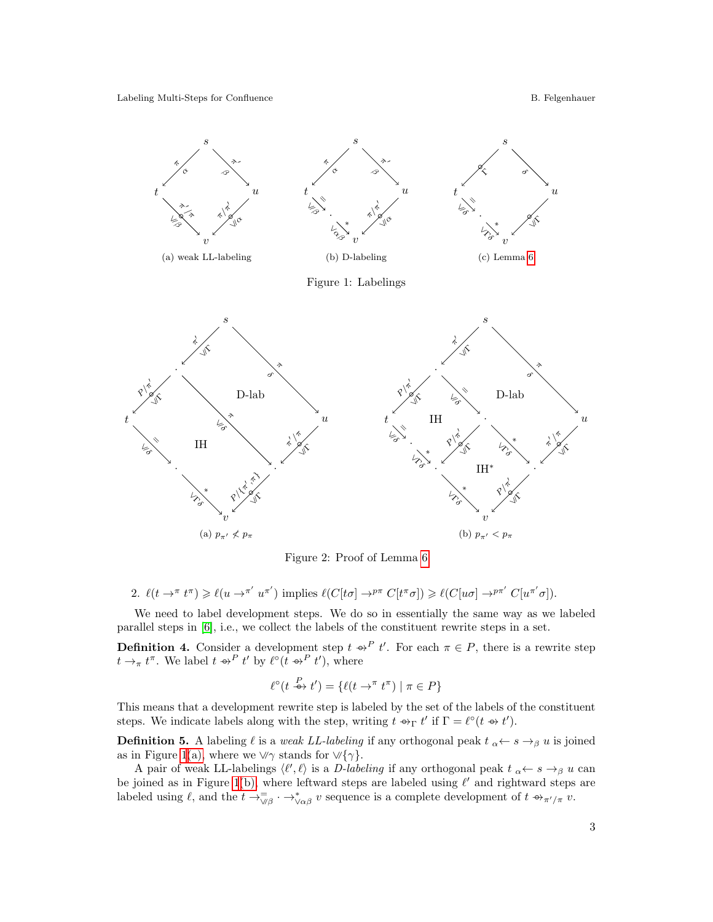Labeling Multi-Steps for Confluence and Security and Security and Security B. Felgenhauer

<span id="page-2-3"></span>

<span id="page-2-4"></span><span id="page-2-2"></span><span id="page-2-1"></span><span id="page-2-0"></span>

Figure 2: Proof of Lemma [6](#page-3-0)

2. 
$$
\ell(t \to^{\pi} t^{\pi}) \geq \ell(u \to^{\pi'} u^{\pi'})
$$
 implies  $\ell(C[t\sigma] \to^{p\pi} C[t^{\pi}\sigma]) \geq \ell(C[u\sigma] \to^{p\pi'} C[u^{\pi'}\sigma]).$ 

We need to label development steps. We do so in essentially the same way as we labeled parallel steps in [\[6\]](#page-4-2), i.e., we collect the labels of the constituent rewrite steps in a set.

**Definition 4.** Consider a development step  $t \rightarrow^P t'$ . For each  $\pi \in P$ , there is a rewrite step  $t \to_\pi t^\pi$ . We label  $t \to^P t'$  by  $\ell^\circ(t \to^P t')$ , where

$$
\ell^{\circ}(t \xrightarrow{P} t') = \{ \ell(t \to^{\pi} t^{\pi}) \mid \pi \in P \}
$$

This means that a development rewrite step is labeled by the set of the labels of the constituent steps. We indicate labels along with the step, writing  $t \to_{\Gamma} t'$  if  $\Gamma = \ell^{\circ}(t \to t')$ .

**Definition 5.** A labeling  $\ell$  is a weak LL-labeling if any orthogonal peak  $t \rightarrow s \rightarrow \beta u$  is joined as in Figure [1](#page-2-0)[\(a\),](#page-2-1) where we  $\forall \gamma$  stands for  $\forall {\gamma}$ .

A pair of weak LL-labelings  $\langle \ell', \ell \rangle$  is a D-labeling if any orthogonal peak  $t \to s \to_\beta u$  can be joined as in Figure [1](#page-2-0)[\(b\),](#page-2-2) where leftward steps are labeled using  $\ell'$  and rightward steps are labeled using  $\ell$ , and the  $t \to_{\sqrt{\ell}}^{\infty}$   $\cdots$   $\to_{\sqrt{\ell}}^{\infty}$  v sequence is a complete development of  $t \to_{\pi'/\pi} v$ .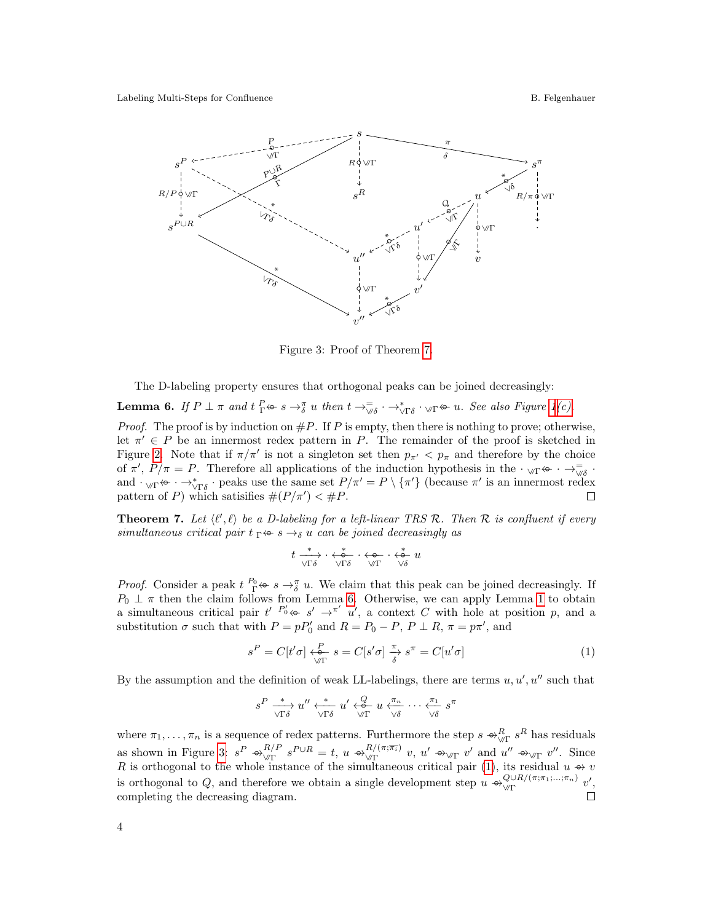<span id="page-3-2"></span>

Figure 3: Proof of Theorem [7.](#page-3-1)

The D-labeling property ensures that orthogonal peaks can be joined decreasingly:

<span id="page-3-0"></span>**Lemma 6.** If  $P \perp \pi$  and  $t \stackrel{P}{\Gamma} \Leftrightarrow s \to \pi^{\pi} u$  then  $t \to \pi^{\pi} \rightarrow \pi^{\pi} u$ . See also Figure [1](#page-2-0)[\(c\).](#page-2-3)

*Proof.* The proof is by induction on  $\#P$ . If P is empty, then there is nothing to prove; otherwise, let  $\pi' \in P$  be an innermost redex pattern in P. The remainder of the proof is sketched in Figure [2.](#page-2-4) Note that if  $\pi/\pi'$  is not a singleton set then  $p_{\pi'} < p_{\pi}$  and therefore by the choice of  $\pi'$ ,  $P/\pi = P$ . Therefore all applications of the induction hypothesis in the  $\cdot_{\sqrt{\pi}} \leftrightarrow \cdot \rightarrow_{\sqrt{\delta}}$ . and  $\cdot_{\forall \Gamma} \leftrightarrow \cdot \rightarrow_{\forall \Gamma \delta}^* \cdot$  peaks use the same set  $P/\pi' = P \setminus {\{\pi'\}}$  (because  $\pi'$  is an innermost redex pattern of P) which satisifies  $#(P/\pi') < #P$ . П

<span id="page-3-1"></span>**Theorem 7.** Let  $\langle \ell', \ell \rangle$  be a D-labeling for a left-linear TRS R. Then R is confluent if every simultaneous critical pair  $t \rightharpoonup s \rightarrow \delta u$  can be joined decreasingly as

$$
t \xrightarrow[\sqrt{\Gamma\delta}]{\Gamma\delta} \cdot \xleftarrow[\sqrt{\delta}]{\Gamma\delta} \cdot \xleftarrow[\sqrt{\delta}]{\Gamma} \cdot \xleftarrow[\sqrt{\delta}]{u}
$$

*Proof.* Consider a peak  $t \frac{P_0}{\Gamma} \leftrightarrow s \to \frac{\pi}{\delta} u$ . We claim that this peak can be joined decreasingly. If  $P_0 \perp \pi$  then the claim follows from Lemma [6.](#page-3-0) Otherwise, we can apply Lemma [1](#page-1-1) to obtain a simultaneous critical pair  $t' P'_{0} \Leftrightarrow s' \rightarrow^{\pi'} u'$ , a context C with hole at position p, and a substitution  $\sigma$  such that with  $P = pP'_0$  and  $R = P_0 - P$ ,  $P \perp R$ ,  $\pi = p\pi'$ , and

<span id="page-3-3"></span>
$$
s^P = C[t'\sigma] \xleftarrow[N]{P} s = C[s'\sigma] \xrightarrow[\delta]{\pi} s^\pi = C[u'\sigma]
$$
 (1)

By the assumption and the definition of weak LL-labelings, there are terms  $u, u', u''$  such that

$$
s^P \xrightarrow[\sqrt{\Gamma\delta}]{\mathcal{U}'} \xleftarrow[\sqrt{\Gamma\delta}]{\mathcal{U}'} \xleftarrow[\sqrt{\Gamma\delta}]{u'} \mathcal{U} \xleftarrow[\sqrt{\Gamma\delta}]{u} \cdots \xleftarrow[\sqrt{\Gamma\delta}]{\mathcal{U}} s^{\pi}
$$

where  $\pi_1, \ldots, \pi_n$  is a sequence of redex patterns. Furthermore the step  $s \leftrightarrow_{\sqrt{\ }K}^R s^R$  has residuals as shown in Figure [3:](#page-3-2)  $s^P \rightarrow_{\sqrt{p}}^{R/F}$  $\frac{R/P}{\sqrt{\Gamma}} s^{P \cup R} = t, u \rightarrow_{\sqrt{\Gamma}}^{R/(\pi;\overline{\pi_i})}$  $\frac{R}{\sqrt{\Gamma}}$  v, u'  $\leftrightarrow_{\sqrt{\Gamma}}$  v' and u''  $\leftrightarrow_{\sqrt{\Gamma}}$  v''. Since R is orthogonal to the whole instance of the simultaneous critical pair [\(1\)](#page-3-3), its residual  $u \rightarrow v$ is orthogonal to Q, and therefore we obtain a single development step  $u \oplus_{\sqrt{\mu}} Q^{\cup R/(\pi;\pi_1;\dots;\pi_n)}$  $Q \cup R/(\pi; \pi_1; \ldots; \pi_n)$   $v',$ completing the decreasing diagram.  $\Box$